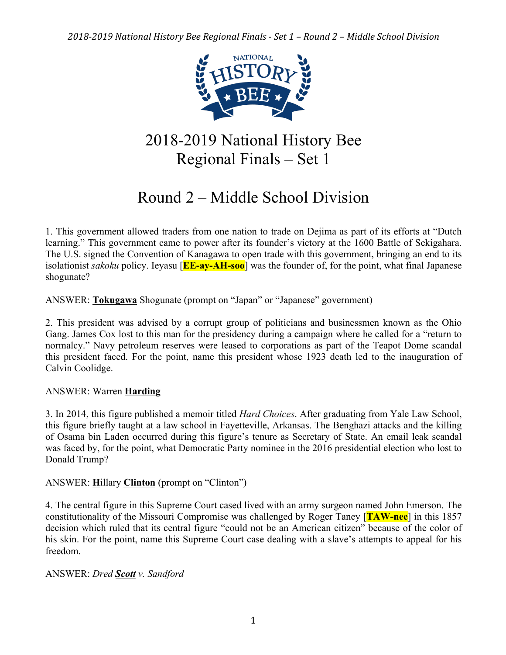

# 2018-2019 National History Bee Regional Finals – Set 1

# Round 2 – Middle School Division

1. This government allowed traders from one nation to trade on Dejima as part of its efforts at "Dutch learning." This government came to power after its founder's victory at the 1600 Battle of Sekigahara. The U.S. signed the Convention of Kanagawa to open trade with this government, bringing an end to its isolationist *sakoku* policy. Ieyasu [**EE-ay-AH-soo**] was the founder of, for the point, what final Japanese shogunate?

ANSWER: **Tokugawa** Shogunate (prompt on "Japan" or "Japanese" government)

2. This president was advised by a corrupt group of politicians and businessmen known as the Ohio Gang. James Cox lost to this man for the presidency during a campaign where he called for a "return to normalcy." Navy petroleum reserves were leased to corporations as part of the Teapot Dome scandal this president faced. For the point, name this president whose 1923 death led to the inauguration of Calvin Coolidge.

# ANSWER: Warren **Harding**

3. In 2014, this figure published a memoir titled *Hard Choices*. After graduating from Yale Law School, this figure briefly taught at a law school in Fayetteville, Arkansas. The Benghazi attacks and the killing of Osama bin Laden occurred during this figure's tenure as Secretary of State. An email leak scandal was faced by, for the point, what Democratic Party nominee in the 2016 presidential election who lost to Donald Trump?

ANSWER: **H**illary **Clinton** (prompt on "Clinton")

4. The central figure in this Supreme Court cased lived with an army surgeon named John Emerson. The constitutionality of the Missouri Compromise was challenged by Roger Taney [**TAW-nee**] in this 1857 decision which ruled that its central figure "could not be an American citizen" because of the color of his skin. For the point, name this Supreme Court case dealing with a slave's attempts to appeal for his freedom.

# ANSWER: *Dred Scott v. Sandford*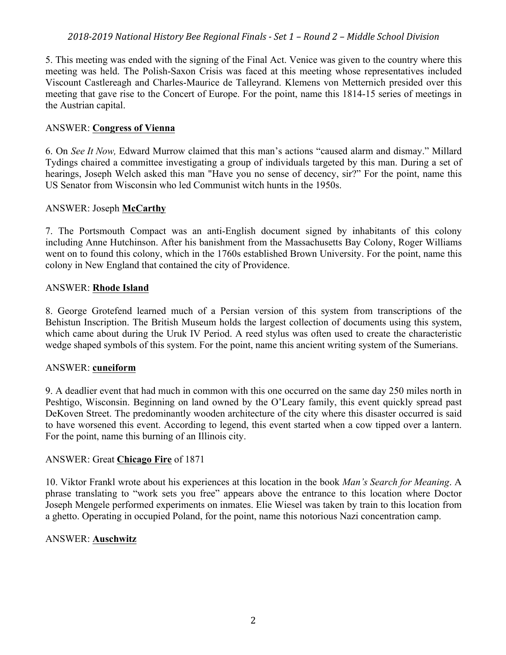5. This meeting was ended with the signing of the Final Act. Venice was given to the country where this meeting was held. The Polish-Saxon Crisis was faced at this meeting whose representatives included Viscount Castlereagh and Charles-Maurice de Talleyrand. Klemens von Metternich presided over this meeting that gave rise to the Concert of Europe. For the point, name this 1814-15 series of meetings in the Austrian capital.

#### ANSWER: **Congress of Vienna**

6. On *See It Now,* Edward Murrow claimed that this man's actions "caused alarm and dismay." Millard Tydings chaired a committee investigating a group of individuals targeted by this man. During a set of hearings, Joseph Welch asked this man "Have you no sense of decency, sir?" For the point, name this US Senator from Wisconsin who led Communist witch hunts in the 1950s.

# ANSWER: Joseph **McCarthy**

7. The Portsmouth Compact was an anti-English document signed by inhabitants of this colony including Anne Hutchinson. After his banishment from the Massachusetts Bay Colony, Roger Williams went on to found this colony, which in the 1760s established Brown University. For the point, name this colony in New England that contained the city of Providence.

#### ANSWER: **Rhode Island**

8. George Grotefend learned much of a Persian version of this system from transcriptions of the Behistun Inscription. The British Museum holds the largest collection of documents using this system, which came about during the Uruk IV Period. A reed stylus was often used to create the characteristic wedge shaped symbols of this system. For the point, name this ancient writing system of the Sumerians.

# ANSWER: **cuneiform**

9. A deadlier event that had much in common with this one occurred on the same day 250 miles north in Peshtigo, Wisconsin. Beginning on land owned by the O'Leary family, this event quickly spread past DeKoven Street. The predominantly wooden architecture of the city where this disaster occurred is said to have worsened this event. According to legend, this event started when a cow tipped over a lantern. For the point, name this burning of an Illinois city.

#### ANSWER: Great **Chicago Fire** of 1871

10. Viktor Frankl wrote about his experiences at this location in the book *Man's Search for Meaning*. A phrase translating to "work sets you free" appears above the entrance to this location where Doctor Joseph Mengele performed experiments on inmates. Elie Wiesel was taken by train to this location from a ghetto. Operating in occupied Poland, for the point, name this notorious Nazi concentration camp.

# ANSWER: **Auschwitz**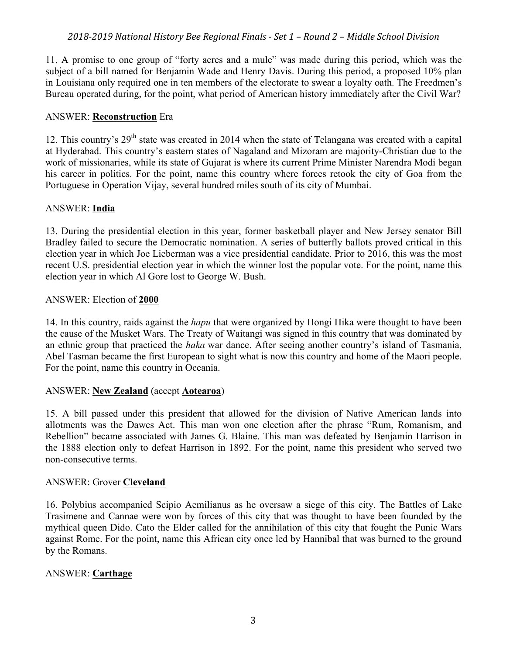11. A promise to one group of "forty acres and a mule" was made during this period, which was the subject of a bill named for Benjamin Wade and Henry Davis. During this period, a proposed 10% plan in Louisiana only required one in ten members of the electorate to swear a loyalty oath. The Freedmen's Bureau operated during, for the point, what period of American history immediately after the Civil War?

# ANSWER: **Reconstruction** Era

12. This country's  $29<sup>th</sup>$  state was created in 2014 when the state of Telangana was created with a capital at Hyderabad. This country's eastern states of Nagaland and Mizoram are majority-Christian due to the work of missionaries, while its state of Gujarat is where its current Prime Minister Narendra Modi began his career in politics. For the point, name this country where forces retook the city of Goa from the Portuguese in Operation Vijay, several hundred miles south of its city of Mumbai.

# ANSWER: **India**

13. During the presidential election in this year, former basketball player and New Jersey senator Bill Bradley failed to secure the Democratic nomination. A series of butterfly ballots proved critical in this election year in which Joe Lieberman was a vice presidential candidate. Prior to 2016, this was the most recent U.S. presidential election year in which the winner lost the popular vote. For the point, name this election year in which Al Gore lost to George W. Bush.

#### ANSWER: Election of **2000**

14. In this country, raids against the *hapu* that were organized by Hongi Hika were thought to have been the cause of the Musket Wars. The Treaty of Waitangi was signed in this country that was dominated by an ethnic group that practiced the *haka* war dance. After seeing another country's island of Tasmania, Abel Tasman became the first European to sight what is now this country and home of the Maori people. For the point, name this country in Oceania.

# ANSWER: **New Zealand** (accept **Aotearoa**)

15. A bill passed under this president that allowed for the division of Native American lands into allotments was the Dawes Act. This man won one election after the phrase "Rum, Romanism, and Rebellion" became associated with James G. Blaine. This man was defeated by Benjamin Harrison in the 1888 election only to defeat Harrison in 1892. For the point, name this president who served two non-consecutive terms.

#### ANSWER: Grover **Cleveland**

16. Polybius accompanied Scipio Aemilianus as he oversaw a siege of this city. The Battles of Lake Trasimene and Cannae were won by forces of this city that was thought to have been founded by the mythical queen Dido. Cato the Elder called for the annihilation of this city that fought the Punic Wars against Rome. For the point, name this African city once led by Hannibal that was burned to the ground by the Romans.

# ANSWER: **Carthage**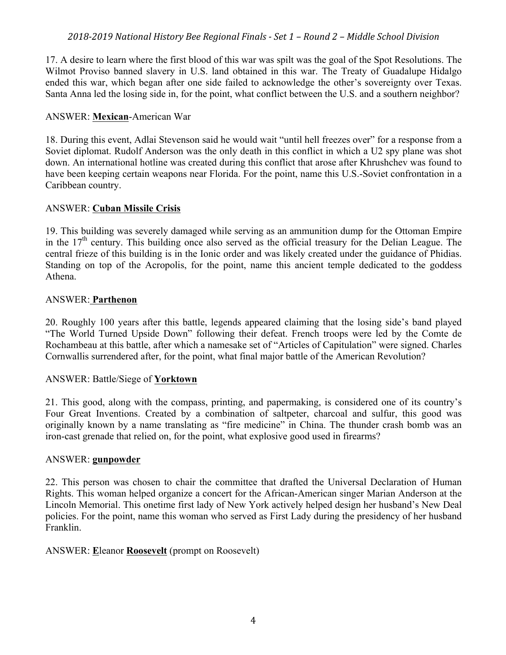17. A desire to learn where the first blood of this war was spilt was the goal of the Spot Resolutions. The Wilmot Proviso banned slavery in U.S. land obtained in this war. The Treaty of Guadalupe Hidalgo ended this war, which began after one side failed to acknowledge the other's sovereignty over Texas. Santa Anna led the losing side in, for the point, what conflict between the U.S. and a southern neighbor?

# ANSWER: **Mexican**-American War

18. During this event, Adlai Stevenson said he would wait "until hell freezes over" for a response from a Soviet diplomat. Rudolf Anderson was the only death in this conflict in which a U2 spy plane was shot down. An international hotline was created during this conflict that arose after Khrushchev was found to have been keeping certain weapons near Florida. For the point, name this U.S.-Soviet confrontation in a Caribbean country.

# ANSWER: **Cuban Missile Crisis**

19. This building was severely damaged while serving as an ammunition dump for the Ottoman Empire in the  $17<sup>th</sup>$  century. This building once also served as the official treasury for the Delian League. The central frieze of this building is in the Ionic order and was likely created under the guidance of Phidias. Standing on top of the Acropolis, for the point, name this ancient temple dedicated to the goddess Athena.

#### ANSWER: **Parthenon**

20. Roughly 100 years after this battle, legends appeared claiming that the losing side's band played "The World Turned Upside Down" following their defeat. French troops were led by the Comte de Rochambeau at this battle, after which a namesake set of "Articles of Capitulation" were signed. Charles Cornwallis surrendered after, for the point, what final major battle of the American Revolution?

#### ANSWER: Battle/Siege of **Yorktown**

21. This good, along with the compass, printing, and papermaking, is considered one of its country's Four Great Inventions. Created by a combination of saltpeter, charcoal and sulfur, this good was originally known by a name translating as "fire medicine" in China. The thunder crash bomb was an iron-cast grenade that relied on, for the point, what explosive good used in firearms?

#### ANSWER: **gunpowder**

22. This person was chosen to chair the committee that drafted the Universal Declaration of Human Rights. This woman helped organize a concert for the African-American singer Marian Anderson at the Lincoln Memorial. This onetime first lady of New York actively helped design her husband's New Deal policies. For the point, name this woman who served as First Lady during the presidency of her husband Franklin.

#### ANSWER: **E**leanor **Roosevelt** (prompt on Roosevelt)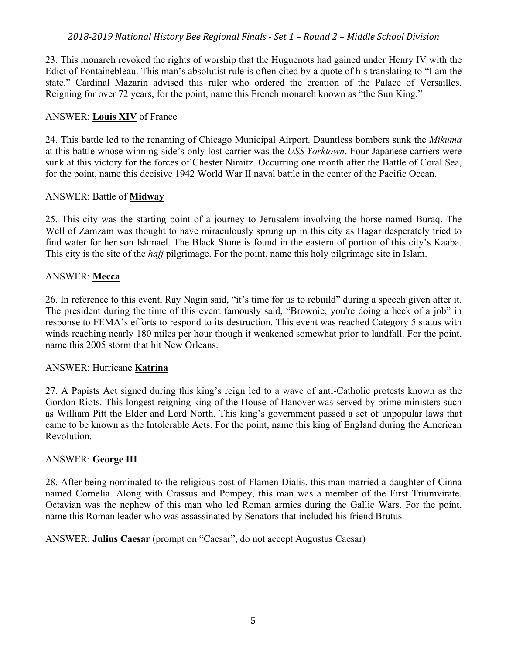23. This monarch revoked the rights of worship that the Huguenots had gained under Henry IV with the Edict of Fontainebleau. This man's absolutist rule is often cited by a quote of his translating to "I am the state." Cardinal Mazarin advised this ruler who ordered the creation of the Palace of Versailles. Reigning for over 72 years, for the point, name this French monarch known as "the Sun King."

# ANSWER: **Louis XIV** of France

24. This battle led to the renaming of Chicago Municipal Airport. Dauntless bombers sunk the *Mikuma* at this battle whose winning side's only lost carrier was the *USS Yorktown*. Four Japanese carriers were sunk at this victory for the forces of Chester Nimitz. Occurring one month after the Battle of Coral Sea, for the point, name this decisive 1942 World War II naval battle in the center of the Pacific Ocean.

#### ANSWER: Battle of **Midway**

25. This city was the starting point of a journey to Jerusalem involving the horse named Buraq. The Well of Zamzam was thought to have miraculously sprung up in this city as Hagar desperately tried to find water for her son Ishmael. The Black Stone is found in the eastern of portion of this city's Kaaba. This city is the site of the *hajj* pilgrimage. For the point, name this holy pilgrimage site in Islam.

#### ANSWER: **Mecca**

26. In reference to this event, Ray Nagin said, "it's time for us to rebuild" during a speech given after it. The president during the time of this event famously said, "Brownie, you're doing a heck of a job" in response to FEMA's efforts to respond to its destruction. This event was reached Category 5 status with winds reaching nearly 180 miles per hour though it weakened somewhat prior to landfall. For the point, name this 2005 storm that hit New Orleans.

# ANSWER: Hurricane **Katrina**

27. A Papists Act signed during this king's reign led to a wave of anti-Catholic protests known as the Gordon Riots. This longest-reigning king of the House of Hanover was served by prime ministers such as William Pitt the Elder and Lord North. This king's government passed a set of unpopular laws that came to be known as the Intolerable Acts. For the point, name this king of England during the American Revolution.

# ANSWER: **George III**

28. After being nominated to the religious post of Flamen Dialis, this man married a daughter of Cinna named Cornelia. Along with Crassus and Pompey, this man was a member of the First Triumvirate. Octavian was the nephew of this man who led Roman armies during the Gallic Wars. For the point, name this Roman leader who was assassinated by Senators that included his friend Brutus.

ANSWER: **Julius Caesar** (prompt on "Caesar", do not accept Augustus Caesar)